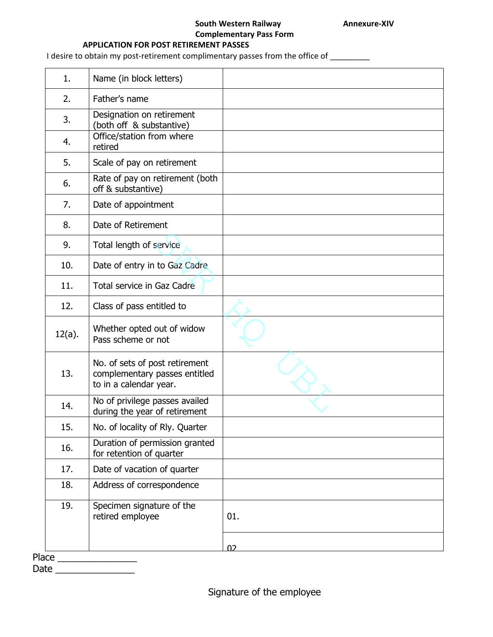## **South Western Railway <b>Annexure-XIV Complementary Pass Form**

## **APPLICATION FOR POST RETIREMENT PASSES**

I desire to obtain my post-retirement complimentary passes from the office of \_\_\_\_\_\_\_\_

| 1.     | Name (in block letters)                                                                   |     |
|--------|-------------------------------------------------------------------------------------------|-----|
| 2.     | Father's name                                                                             |     |
| 3.     | Designation on retirement<br>(both off & substantive)                                     |     |
| 4.     | Office/station from where<br>retired                                                      |     |
| 5.     | Scale of pay on retirement                                                                |     |
| 6.     | Rate of pay on retirement (both<br>off & substantive)                                     |     |
| 7.     | Date of appointment                                                                       |     |
| 8.     | Date of Retirement                                                                        |     |
| 9.     | Total length of service                                                                   |     |
| 10.    | Date of entry in to Gaz Cadre                                                             |     |
| 11.    | Total service in Gaz Cadre                                                                |     |
| 12.    | Class of pass entitled to                                                                 |     |
| 12(a). | Whether opted out of widow<br>Pass scheme or not                                          |     |
| 13.    | No. of sets of post retirement<br>complementary passes entitled<br>to in a calendar year. |     |
| 14.    | No of privilege passes availed<br>during the year of retirement                           |     |
| 15.    | No. of locality of Rly. Quarter                                                           |     |
| 16.    | Duration of permission granted<br>for retention of quarter                                |     |
| 17.    | Date of vacation of quarter                                                               |     |
| 18.    | Address of correspondence                                                                 |     |
|        | Specimen signature of the                                                                 |     |
| 19.    | retired employee                                                                          | 01. |

Date \_\_\_\_\_\_\_\_\_\_\_\_\_\_\_